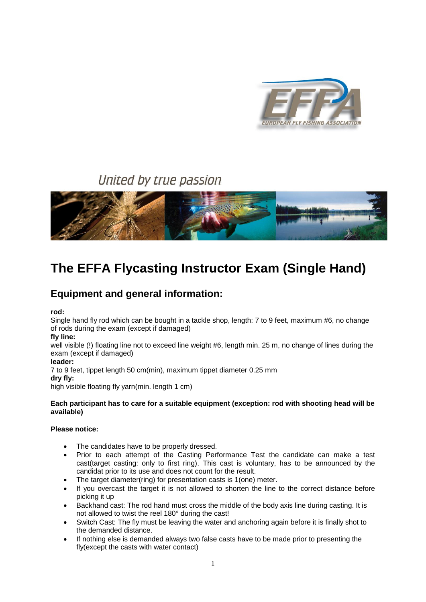

# United by true passion



# **The EFFA Flycasting Instructor Exam (Single Hand)**

# **Equipment and general information:**

**rod:**

Single hand fly rod which can be bought in a tackle shop, length: 7 to 9 feet, maximum #6, no change of rods during the exam (except if damaged)

#### **fly line:**

well visible (!) floating line not to exceed line weight #6, length min. 25 m, no change of lines during the exam (except if damaged)

#### **leader:**

7 to 9 feet, tippet length 50 cm(min), maximum tippet diameter 0.25 mm **dry fly:**

high visible floating fly yarn(min. length 1 cm)

#### **Each participant has to care for a suitable equipment (exception: rod with shooting head will be available)**

#### **Please notice:**

- The candidates have to be properly dressed.
- Prior to each attempt of the Casting Performance Test the candidate can make a test cast(target casting: only to first ring). This cast is voluntary, has to be announced by the candidat prior to its use and does not count for the result.
- The target diameter(ring) for presentation casts is 1(one) meter.
- If you overcast the target it is not allowed to shorten the line to the correct distance before picking it up
- Backhand cast: The rod hand must cross the middle of the body axis line during casting. It is not allowed to twist the reel 180° during the cast!
- Switch Cast: The fly must be leaving the water and anchoring again before it is finally shot to the demanded distance.
- If nothing else is demanded always two false casts have to be made prior to presenting the fly(except the casts with water contact)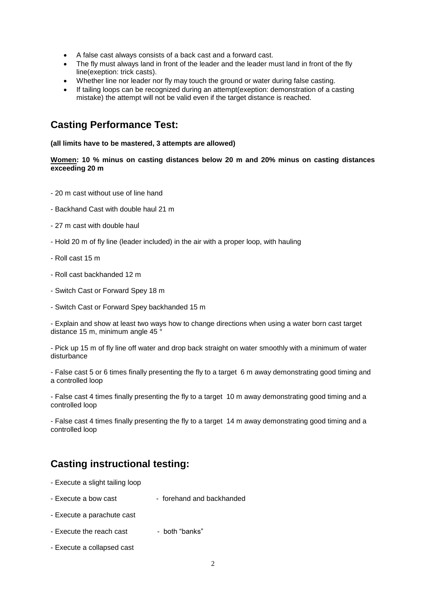- A false cast always consists of a back cast and a forward cast.
- The fly must always land in front of the leader and the leader must land in front of the fly line(exeption: trick casts).
- Whether line nor leader nor fly may touch the ground or water during false casting.
- If tailing loops can be recognized during an attempt(exeption: demonstration of a casting mistake) the attempt will not be valid even if the target distance is reached.

### **Casting Performance Test:**

#### **(all limits have to be mastered, 3 attempts are allowed)**

#### **[Women:](http://www.effa.info/) 10 % minus on casting distances below 20 m and 20% minus on casting distances exceeding 20 m**

- 20 m cast without use of line hand
- Backhand Cast with double haul 21 m
- 27 m cast with double haul
- Hold 20 m of fly line (leader included) in the air with a proper loop, with hauling
- Roll cast 15 m
- Roll cast backhanded 12 m
- Switch Cast or Forward Spey 18 m
- Switch Cast or Forward Spey backhanded 15 m

- Explain and show at least two ways how to change directions when using a water born cast target distance 15 m, minimum angle 45 °

- Pick up 15 m of fly line off water and drop back straight on water smoothly with a minimum of water disturbance

- False cast 5 or 6 times finally presenting the fly to a target 6 m away demonstrating good timing and a controlled loop

- False cast 4 times finally presenting the fly to a target 10 m away demonstrating good timing and a controlled loop

- False cast 4 times finally presenting the fly to a target 14 m away demonstrating good timing and a controlled loop

### **Casting instructional testing:**

- Execute a slight tailing loop
- Execute a bow cast forehand and backhanded
- Execute a parachute cast
- Execute the reach cast both "banks"
- Execute a collapsed cast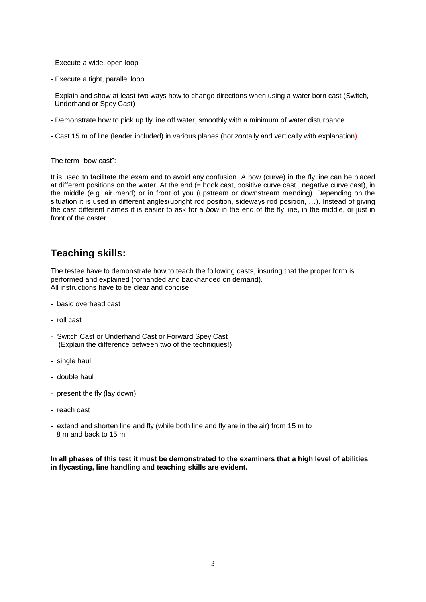- Execute a wide, open loop
- Execute a tight, parallel loop
- Explain and show at least two ways how to change directions when using a water born cast (Switch, Underhand or Spey Cast)
- Demonstrate how to pick up fly line off water, smoothly with a minimum of water disturbance
- Cast 15 m of line (leader included) in various planes (horizontally and vertically with explanation)

The term "bow cast":

It is used to facilitate the exam and to avoid any confusion. A bow (curve) in the fly line can be placed at different positions on the water. At the end (= hook cast, positive curve cast , negative curve cast), in the middle (e.g. air mend) or in front of you (upstream or downstream mending). Depending on the situation it is used in different angles(upright rod position, sideways rod position, …). Instead of giving the cast different names it is easier to ask for a *bow* in the end of the fly line, in the middle, or just in front of the caster.

### **Teaching skills:**

The testee have to demonstrate how to teach the following casts, insuring that the proper form is performed and explained (forhanded and backhanded on demand). All instructions have to be clear and concise.

- basic overhead cast
- roll cast
- Switch Cast or Underhand Cast or Forward Spey Cast (Explain the difference between two of the techniques!)
- single haul
- double haul
- present the fly (lay down)
- reach cast
- extend and shorten line and fly (while both line and fly are in the air) from 15 m to 8 m and back to 15 m

**In all phases of this test it must be demonstrated to the examiners that a high level of abilities in flycasting, line handling and teaching skills are evident.**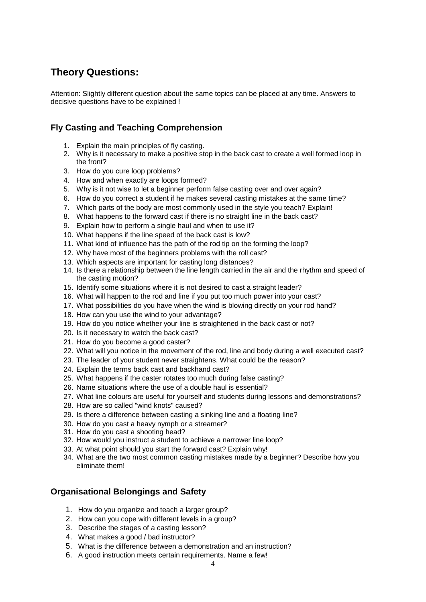## **Theory Questions:**

Attention: Slightly different question about the same topics can be placed at any time. Answers to decisive questions have to be explained !

### **Fly Casting and Teaching Comprehension**

- 1. Explain the main principles of fly casting.
- 2. Why is it necessary to make a positive stop in the back cast to create a well formed loop in the front?
- 3. How do you cure loop problems?
- 4. How and when exactly are loops formed?
- 5. Why is it not wise to let a beginner perform false casting over and over again?
- 6. How do you correct a student if he makes several casting mistakes at the same time?
- 7. Which parts of the body are most commonly used in the style you teach? Explain!
- 8. What happens to the forward cast if there is no straight line in the back cast?
- 9. Explain how to perform a single haul and when to use it?
- 10. What happens if the line speed of the back cast is low?
- 11. What kind of influence has the path of the rod tip on the forming the loop?
- 12. Why have most of the beginners problems with the roll cast?
- 13. Which aspects are important for casting long distances?
- 14. Is there a relationship between the line length carried in the air and the rhythm and speed of the casting motion?
- 15. Identify some situations where it is not desired to cast a straight leader?
- 16. What will happen to the rod and line if you put too much power into your cast?
- 17. What possibilities do you have when the wind is blowing directly on your rod hand?
- 18. How can you use the wind to your advantage?
- 19. How do you notice whether your line is straightened in the back cast or not?
- 20. Is it necessary to watch the back cast?
- 21. How do you become a good caster?
- 22. What will you notice in the movement of the rod, line and body during a well executed cast?
- 23. The leader of your student never straightens. What could be the reason?
- 24. Explain the terms back cast and backhand cast?
- 25. What happens if the caster rotates too much during false casting?
- 26. Name situations where the use of a double haul is essential?
- 27. What line colours are useful for yourself and students during lessons and demonstrations?
- 28. How are so called "wind knots" caused?
- 29. Is there a difference between casting a sinking line and a floating line?
- 30. How do you cast a heavy nymph or a streamer?
- 31. How do you cast a shooting head?
- 32. How would you instruct a student to achieve a narrower line loop?
- 33. At what point should you start the forward cast? Explain why!
- 34. What are the two most common casting mistakes made by a beginner? Describe how you eliminate them!

### **Organisational Belongings and Safety**

- 1. How do you organize and teach a larger group?
- 2. How can you cope with different levels in a group?
- 3. Describe the stages of a casting lesson?
- 4. What makes a good / bad instructor?
- 5. What is the difference between a demonstration and an instruction?
- 6. A good instruction meets certain requirements. Name a few!